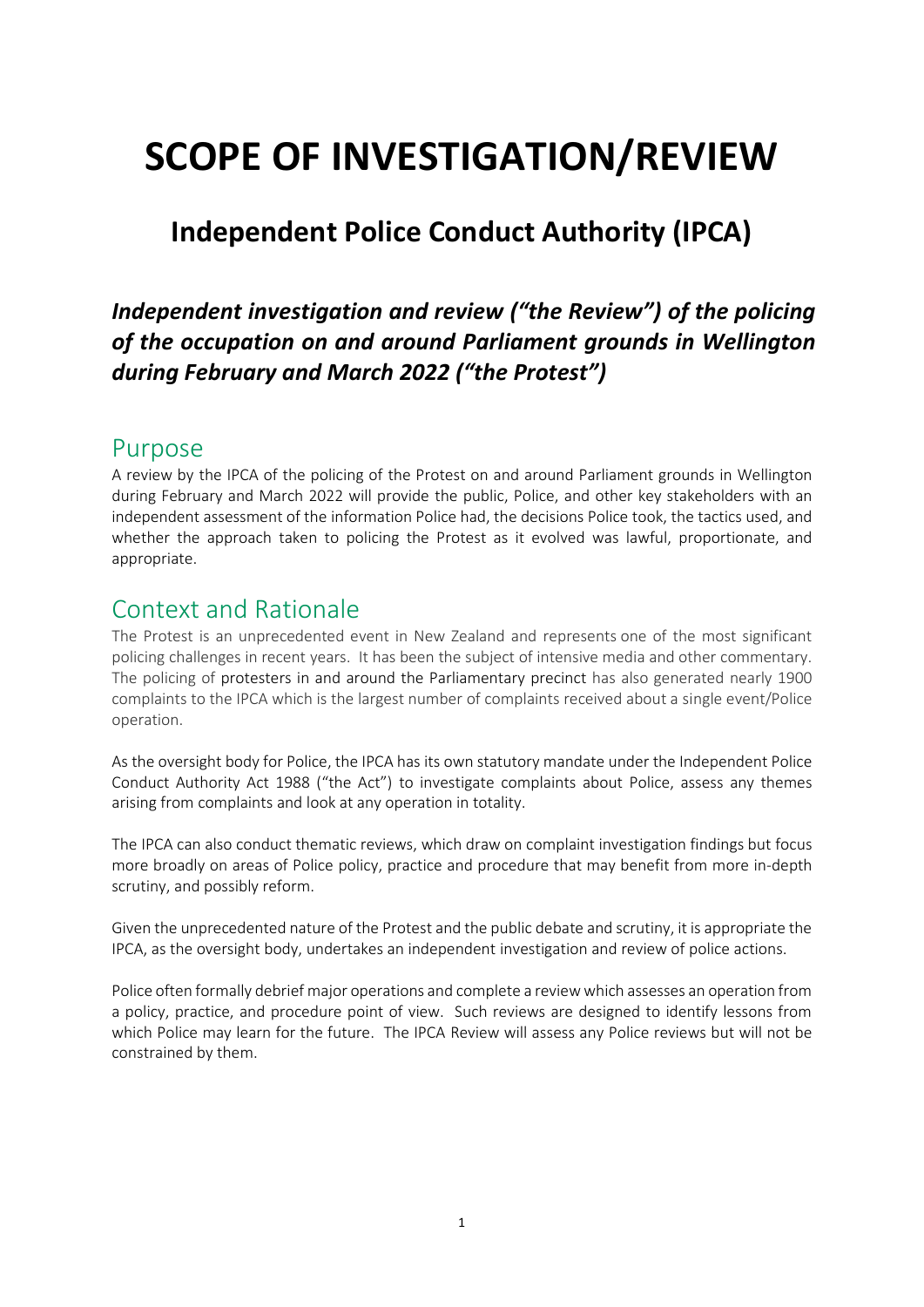# **SCOPE OF INVESTIGATION/REVIEW**

# **Independent Police Conduct Authority (IPCA)**

### *Independent investigation and review ("the Review") of the policing of the occupation on and around Parliament grounds in Wellington during February and March 2022 ("the Protest")*

### Purpose

A review by the IPCA of the policing of the Protest on and around Parliament grounds in Wellington during February and March 2022 will provide the public, Police, and other key stakeholders with an independent assessment of the information Police had, the decisions Police took, the tactics used, and whether the approach taken to policing the Protest as it evolved was lawful, proportionate, and appropriate.

### Context and Rationale

The Protest is an unprecedented event in New Zealand and represents one of the most significant policing challenges in recent years. It has been the subject of intensive media and other commentary. The policing of protesters in and around the Parliamentary precinct has also generated nearly 1900 complaints to the IPCA which is the largest number of complaints received about a single event/Police operation.

As the oversight body for Police, the IPCA has its own statutory mandate under the Independent Police Conduct Authority Act 1988 ("the Act") to investigate complaints about Police, assess any themes arising from complaints and look at any operation in totality.

The IPCA can also conduct thematic reviews, which draw on complaint investigation findings but focus more broadly on areas of Police policy, practice and procedure that may benefit from more in-depth scrutiny, and possibly reform.

Given the unprecedented nature of the Protest and the public debate and scrutiny, it is appropriate the IPCA, as the oversight body, undertakes an independent investigation and review of police actions.

Police often formally debrief major operations and complete a review which assesses an operation from a policy, practice, and procedure point of view. Such reviews are designed to identify lessons from which Police may learn for the future. The IPCA Review will assess any Police reviews but will not be constrained by them.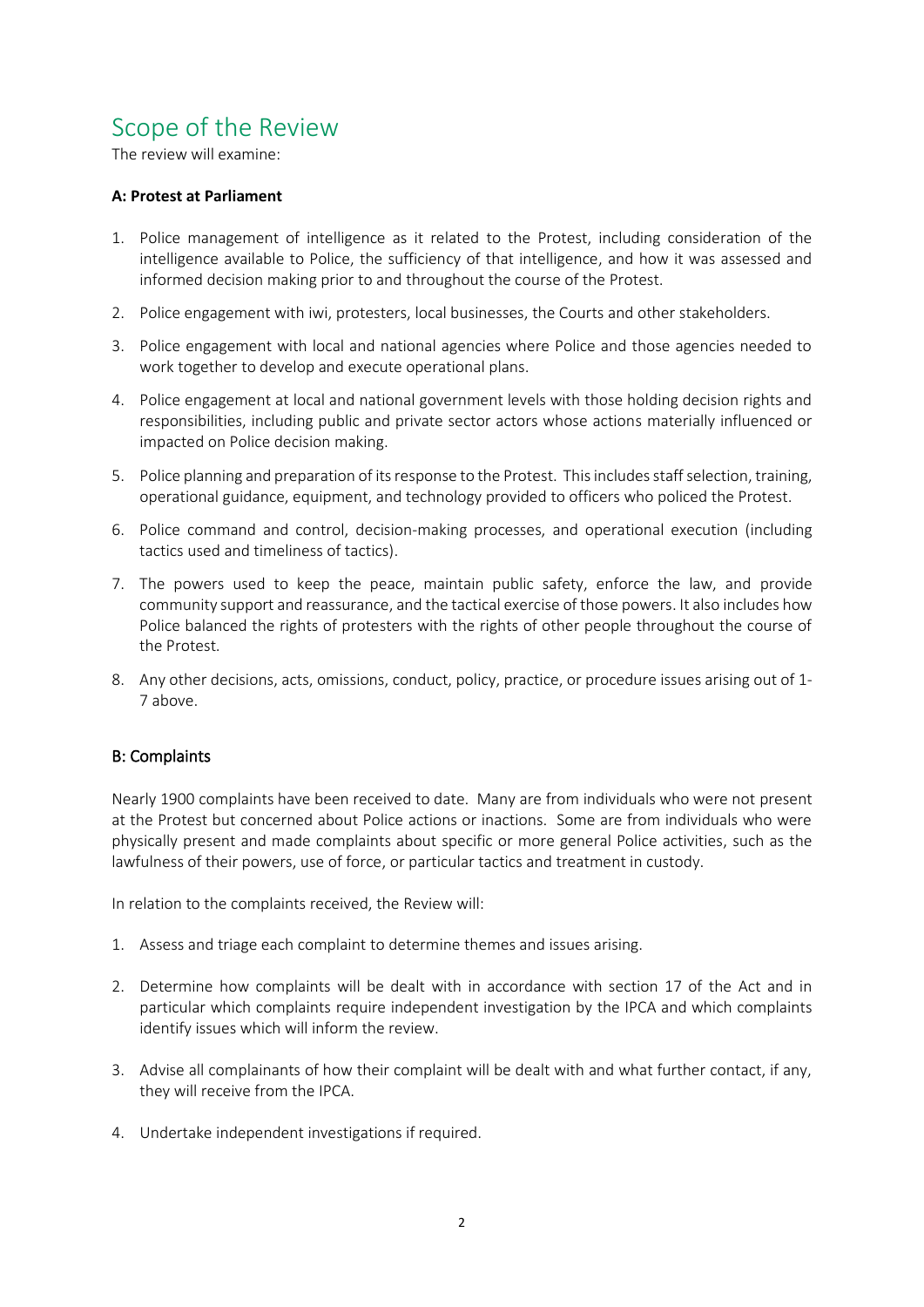## Scope of the Review

The review will examine:

### **A: Protest at Parliament**

- 1. Police management of intelligence as it related to the Protest, including consideration of the intelligence available to Police, the sufficiency of that intelligence, and how it was assessed and informed decision making prior to and throughout the course of the Protest.
- 2. Police engagement with iwi, protesters, local businesses, the Courts and other stakeholders.
- 3. Police engagement with local and national agencies where Police and those agencies needed to work together to develop and execute operational plans.
- 4. Police engagement at local and national government levels with those holding decision rights and responsibilities, including public and private sector actors whose actions materially influenced or impacted on Police decision making.
- 5. Police planning and preparation of itsresponse to the Protest. This includes staffselection, training, operational guidance, equipment, and technology provided to officers who policed the Protest.
- 6. Police command and control, decision-making processes, and operational execution (including tactics used and timeliness of tactics).
- 7. The powers used to keep the peace, maintain public safety, enforce the law, and provide community support and reassurance, and the tactical exercise of those powers. It also includes how Police balanced the rights of protesters with the rights of other people throughout the course of the Protest.
- 8. Any other decisions, acts, omissions, conduct, policy, practice, or procedure issues arising out of 1- 7 above.

### B: Complaints

Nearly 1900 complaints have been received to date. Many are from individuals who were not present at the Protest but concerned about Police actions or inactions. Some are from individuals who were physically present and made complaints about specific or more general Police activities, such as the lawfulness of their powers, use of force, or particular tactics and treatment in custody.

In relation to the complaints received, the Review will:

- 1. Assess and triage each complaint to determine themes and issues arising.
- 2. Determine how complaints will be dealt with in accordance with section 17 of the Act and in particular which complaints require independent investigation by the IPCA and which complaints identify issues which will inform the review.
- 3. Advise all complainants of how their complaint will be dealt with and what further contact, if any, they will receive from the IPCA.
- 4. Undertake independent investigations if required.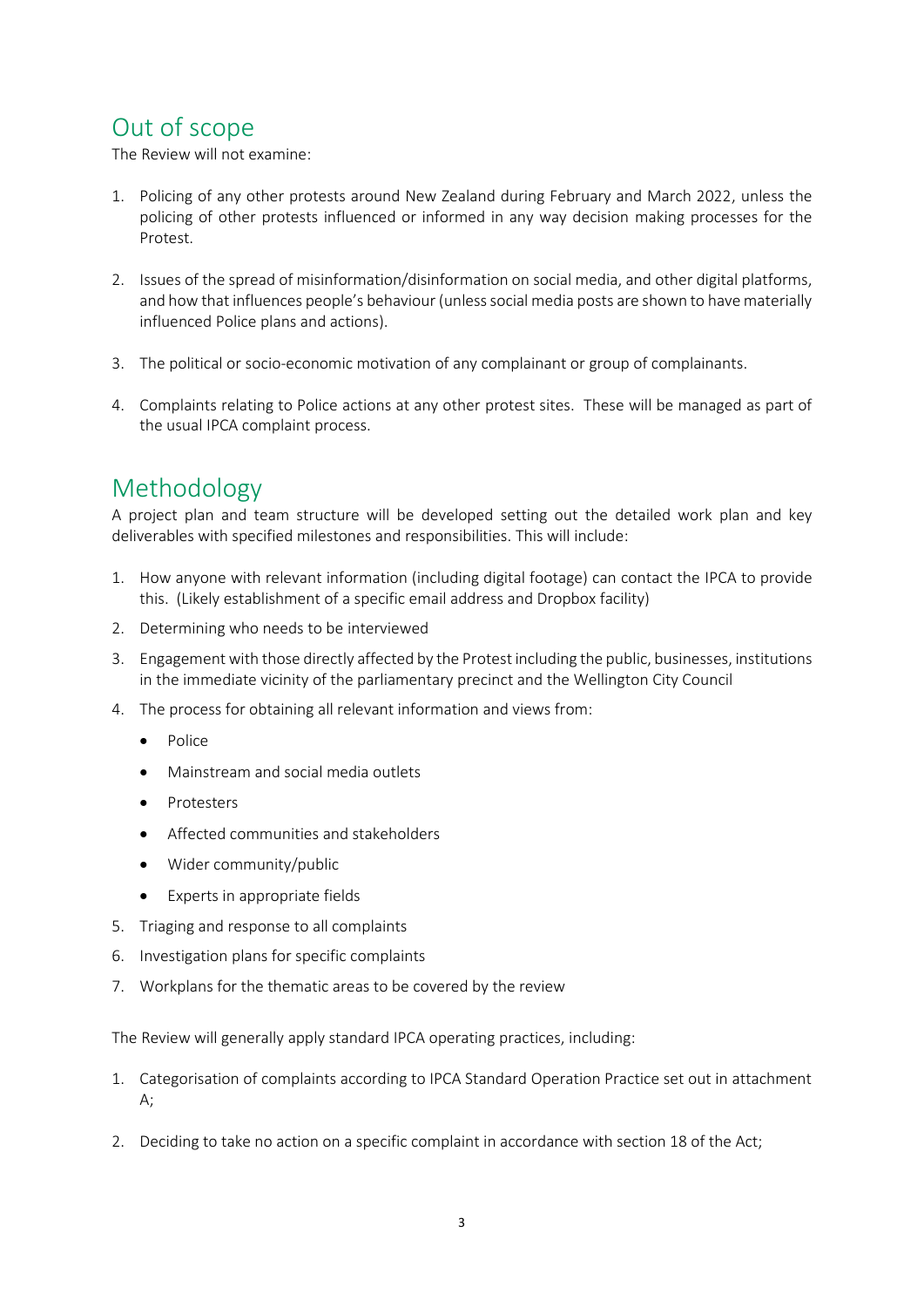## Out of scope

The Review will not examine:

- 1. Policing of any other protests around New Zealand during February and March 2022, unless the policing of other protests influenced or informed in any way decision making processes for the Protest.
- 2. Issues of the spread of misinformation/disinformation on social media, and other digital platforms, and how that influences people's behaviour (unless social media posts are shown to have materially influenced Police plans and actions).
- 3. The political or socio-economic motivation of any complainant or group of complainants.
- 4. Complaints relating to Police actions at any other protest sites. These will be managed as part of the usual IPCA complaint process.

# Methodology

A project plan and team structure will be developed setting out the detailed work plan and key deliverables with specified milestones and responsibilities. This will include:

- 1. How anyone with relevant information (including digital footage) can contact the IPCA to provide this. (Likely establishment of a specific email address and Dropbox facility)
- 2. Determining who needs to be interviewed
- 3. Engagement with those directly affected by the Protest including the public, businesses, institutions in the immediate vicinity of the parliamentary precinct and the Wellington City Council
- 4. The process for obtaining all relevant information and views from:
	- Police
	- Mainstream and social media outlets
	- Protesters
	- Affected communities and stakeholders
	- Wider community/public
	- Experts in appropriate fields
- 5. Triaging and response to all complaints
- 6. Investigation plans for specific complaints
- 7. Workplans for the thematic areas to be covered by the review

The Review will generally apply standard IPCA operating practices, including:

- 1. Categorisation of complaints according to IPCA Standard Operation Practice set out in attachment A;
- 2. Deciding to take no action on a specific complaint in accordance with section 18 of the Act;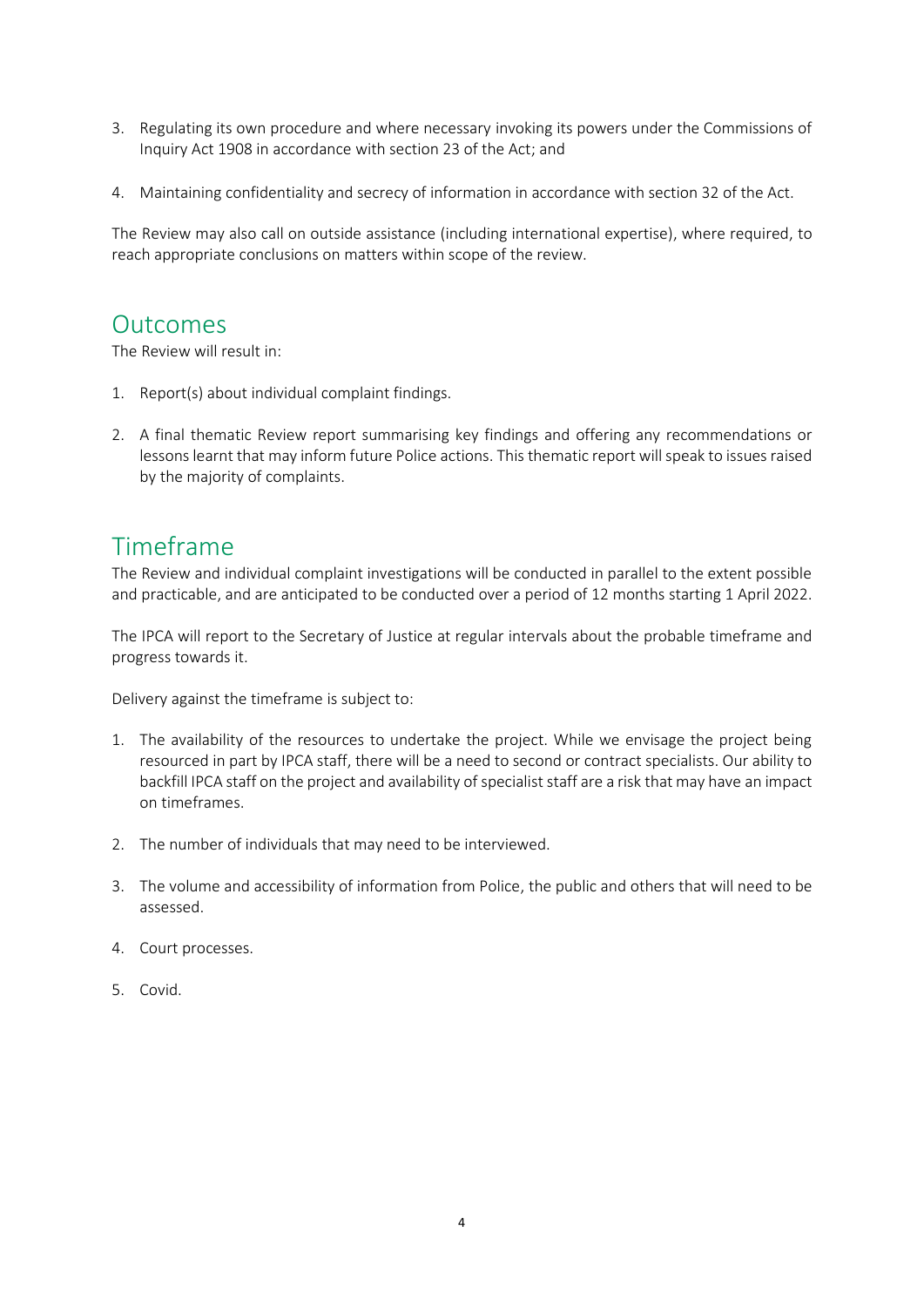- 3. Regulating its own procedure and where necessary invoking its powers under the Commissions of Inquiry Act 1908 in accordance with section 23 of the Act; and
- 4. Maintaining confidentiality and secrecy of information in accordance with section 32 of the Act.

The Review may also call on outside assistance (including international expertise), where required, to reach appropriate conclusions on matters within scope of the review.

### **Outcomes**

The Review will result in:

- 1. Report(s) about individual complaint findings.
- 2. A final thematic Review report summarising key findings and offering any recommendations or lessons learnt that may inform future Police actions. This thematic report will speak to issues raised by the majority of complaints.

### Timeframe

The Review and individual complaint investigations will be conducted in parallel to the extent possible and practicable, and are anticipated to be conducted over a period of 12 months starting 1 April 2022.

The IPCA will report to the Secretary of Justice at regular intervals about the probable timeframe and progress towards it.

Delivery against the timeframe is subject to:

- 1. The availability of the resources to undertake the project. While we envisage the project being resourced in part by IPCA staff, there will be a need to second or contract specialists. Our ability to backfill IPCA staff on the project and availability of specialist staff are a risk that may have an impact on timeframes.
- 2. The number of individuals that may need to be interviewed.
- 3. The volume and accessibility of information from Police, the public and others that will need to be assessed.
- 4. Court processes.
- 5. Covid.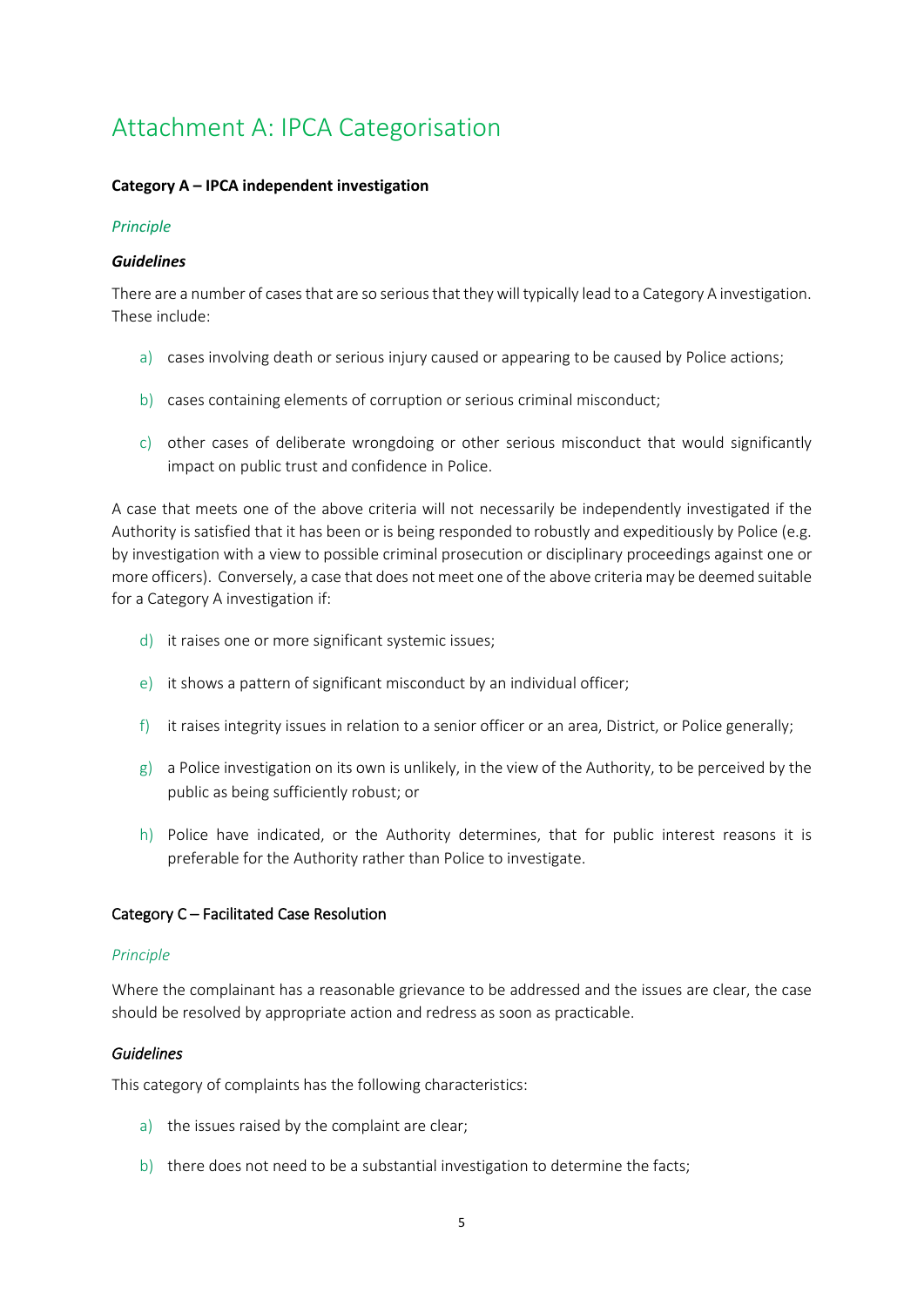# Attachment A: IPCA Categorisation

### **Category A – IPCA independent investigation**

#### *Principle*

#### *Guidelines*

There are a number of cases that are so serious that they will typically lead to a Category A investigation. These include:

- a) cases involving death or serious injury caused or appearing to be caused by Police actions;
- b) cases containing elements of corruption or serious criminal misconduct;
- c) other cases of deliberate wrongdoing or other serious misconduct that would significantly impact on public trust and confidence in Police.

A case that meets one of the above criteria will not necessarily be independently investigated if the Authority is satisfied that it has been or is being responded to robustly and expeditiously by Police (e.g. by investigation with a view to possible criminal prosecution or disciplinary proceedings against one or more officers). Conversely, a case that does not meet one of the above criteria may be deemed suitable for a Category A investigation if:

- d) it raises one or more significant systemic issues;
- e) it shows a pattern of significant misconduct by an individual officer;
- f) it raises integrity issues in relation to a senior officer or an area, District, or Police generally;
- g) a Police investigation on its own is unlikely, in the view of the Authority, to be perceived by the public as being sufficiently robust; or
- h) Police have indicated, or the Authority determines, that for public interest reasons it is preferable for the Authority rather than Police to investigate.

### Category C – Facilitated Case Resolution

#### *Principle*

Where the complainant has a reasonable grievance to be addressed and the issues are clear, the case should be resolved by appropriate action and redress as soon as practicable.

#### *Guidelines*

This category of complaints has the following characteristics:

- a) the issues raised by the complaint are clear;
- b) there does not need to be a substantial investigation to determine the facts;